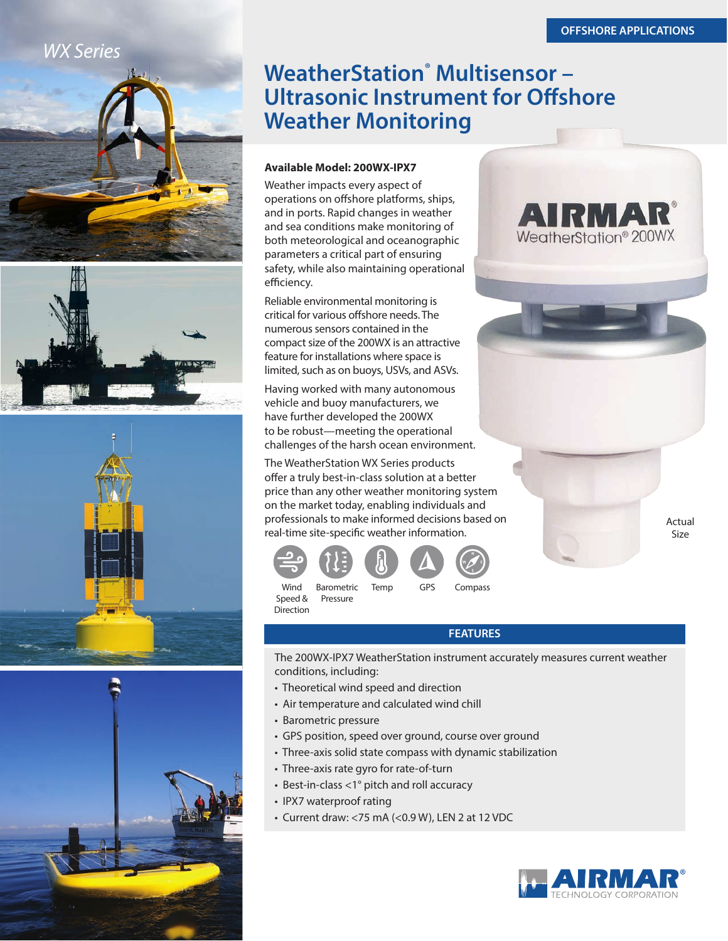**AIRMA** 

WeatherStation<sup>®</sup> 200WX

# *WX Series*









# **WeatherStation<sup>®</sup> Multisensor -Ultrasonic Instrument for Offshore Weather Monitoring**

### **Available Model: 200WX-IPX7**

Weather impacts every aspect of operations on offshore platforms, ships, and in ports. Rapid changes in weather and sea conditions make monitoring of both meteorological and oceanographic parameters a critical part of ensuring safety, while also maintaining operational efficiency.

Reliable environmental monitoring is critical for various offshore needs. The numerous sensors contained in the compact size of the 200WX is an attractive feature for installations where space is limited, such as on buoys, USVs, and ASVs.

Having worked with many autonomous vehicle and buoy manufacturers, we have further developed the 200WX to be robust—meeting the operational challenges of the harsh ocean environment.

The WeatherStation WX Series products offer a truly best-in-class solution at a better price than any other weather monitoring system on the market today, enabling individuals and professionals to make informed decisions based on real-time site-specific weather information.



Wind Barometric Temp GPS Compass Speed & Pressure **Direction** 

## **FEATURES**

The 200WX-IPX7 WeatherStation instrument accurately measures current weather conditions, including:

- Theoretical wind speed and direction
- Air temperature and calculated wind chill
- Barometric pressure
- GPS position, speed over ground, course over ground
- Three-axis solid state compass with dynamic stabilization
- Three-axis rate gyro for rate-of-turn
- Best-in-class <1° pitch and roll accuracy
- IPX7 waterproof rating
- Current draw: <75 mA (<0.9 W), LEN 2 at 12 VDC



Actual Size